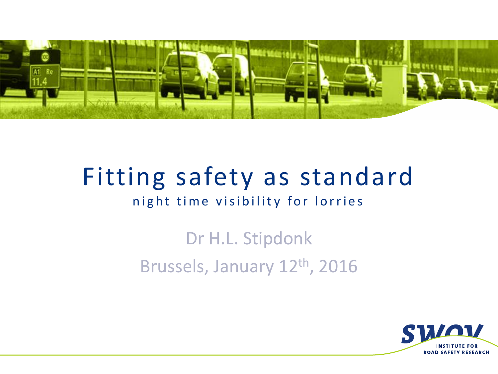

# Fitting safety as standard

#### night time visibility for lorries

## Dr H.L. Stipdonk Brussels, January 12th, 2016

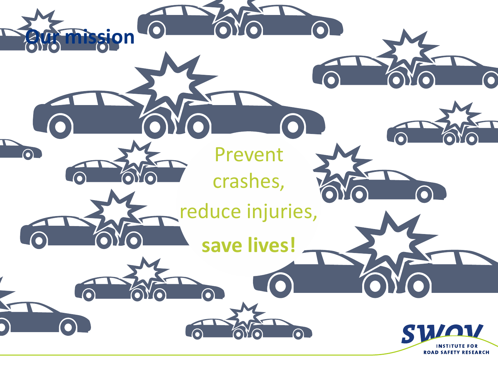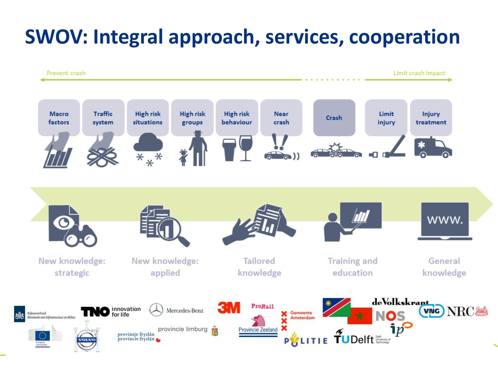## **SWOV: Integral approach, services, cooperation**

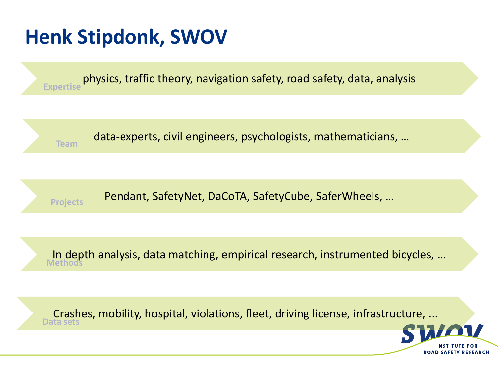## **Henk Stipdonk, SWOV**

physics, traffic theory, navigation safety, road safety, data, analysis **Expertise** data-experts, civil engineers, psychologists, mathematicians, … **Team** Pendant, SafetyNet, DaCoTA, SafetyCube, SaferWheels, … **Projects** In depth analysis, data matching, empirical research, instrumented bicycles, … **Methods**

Crashes, mobility, hospital, violations, fleet, driving license, infrastructure, ... **Data sets**

**ROAD SAFETY RESEARCH**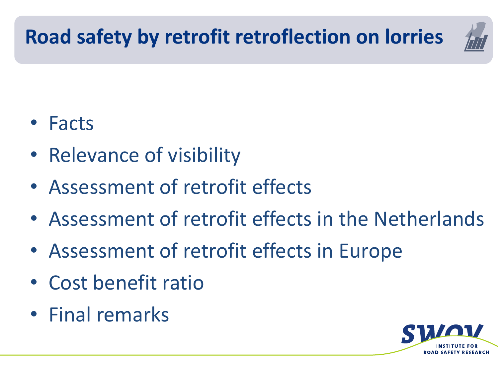## **Road safety by retrofit retroflection on lorries**



- Facts
- Relevance of visibility
- Assessment of retrofit effects
- Assessment of retrofit effects in the Netherlands
- Assessment of retrofit effects in Europe
- Cost benefit ratio
- Final remarks

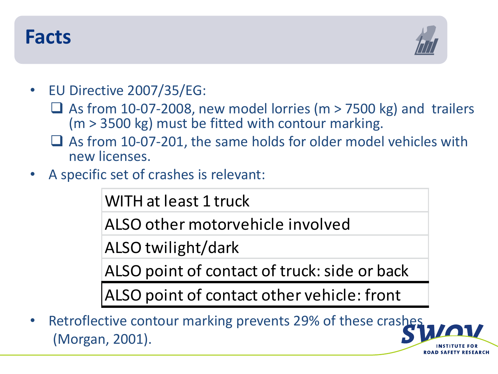#### **Facts**



- EU Directive 2007/35/EG:
	- $\Box$  As from 10-07-2008, new model lorries (m > 7500 kg) and trailers (m > 3500 kg) must be fitted with contour marking.
	- $\Box$  As from 10-07-201, the same holds for older model vehicles with new licenses.
- A specific set of crashes is relevant:

WITH at least 1 truck

ALSO other motorvehicle involved

ALSO twilight/dark

ALSO point of contact of truck: side or back

ALSO point of contact other vehicle: front

Retroflective contour marking prevents 29% of these crashes (Morgan, 2001).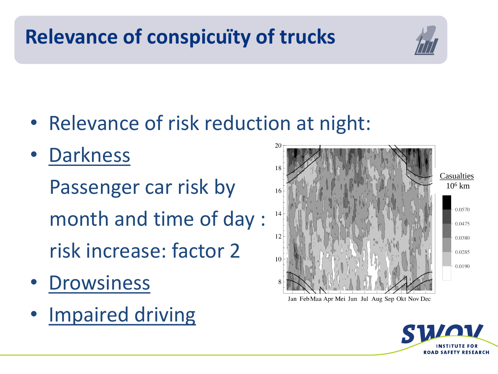## **Relevance of conspicuïty of trucks**



- Relevance of risk reduction at night:
- Darkness Passenger car risk by month and time of day : risk increase: factor 2
- Drowsiness
- Impaired driving



Jan Feb Maa Apr Mei Jun Jul Aug Sep Okt Nov Dec

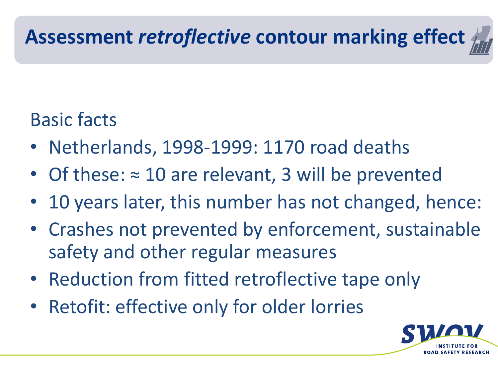#### Basic facts

- Netherlands, 1998-1999: 1170 road deaths
- Of these: ≈ 10 are relevant, 3 will be prevented
- 10 years later, this number has not changed, hence:
- Crashes not prevented by enforcement, sustainable safety and other regular measures
- Reduction from fitted retroflective tape only
- Retofit: effective only for older lorries

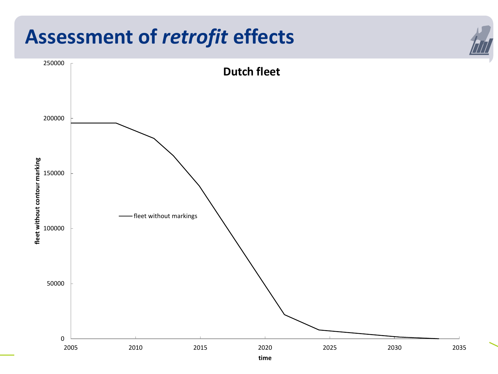#### **Assessment of** *retrofit* **effects**

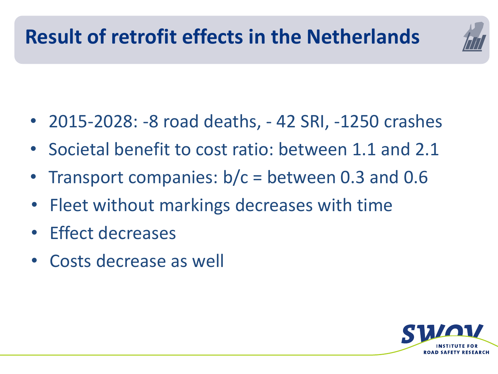

- 2015-2028: -8 road deaths, 42 SRI, -1250 crashes
- Societal benefit to cost ratio: between 1.1 and 2.1
- Transport companies: b/c = between 0.3 and 0.6
- Fleet without markings decreases with time
- Effect decreases
- Costs decrease as well

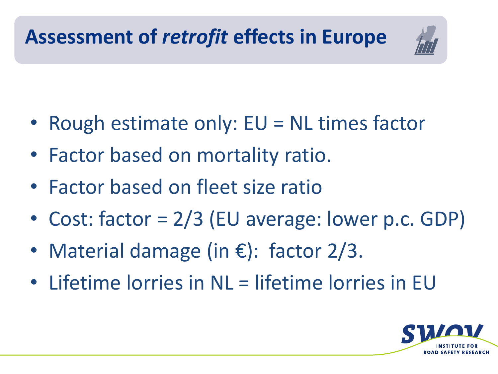

- Rough estimate only: EU = NL times factor
- Factor based on mortality ratio.
- Factor based on fleet size ratio
- Cost: factor = 2/3 (EU average: lower p.c. GDP)
- Material damage (in  $\epsilon$ ): factor 2/3.
- Lifetime lorries in NL = lifetime lorries in EU

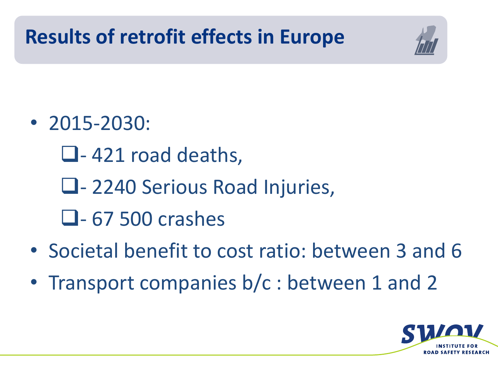## **Results of retrofit effects in Europe**



- 2015-2030:
	- $\Box$ -421 road deaths,
	- Q 2240 Serious Road Injuries,
	- $\Box$  67 500 crashes
- Societal benefit to cost ratio: between 3 and 6
- Transport companies b/c : between 1 and 2

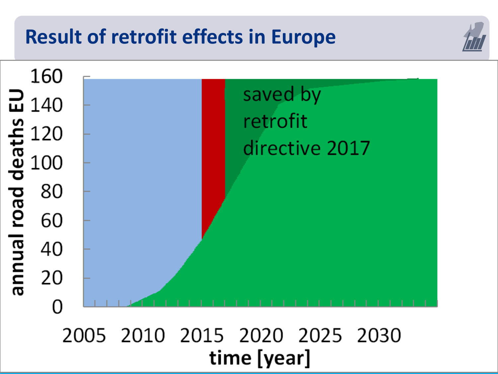#### **Result of retrofit effects in Europe**



#### 2005 2010 2015 2020 2025 2030 time [year]